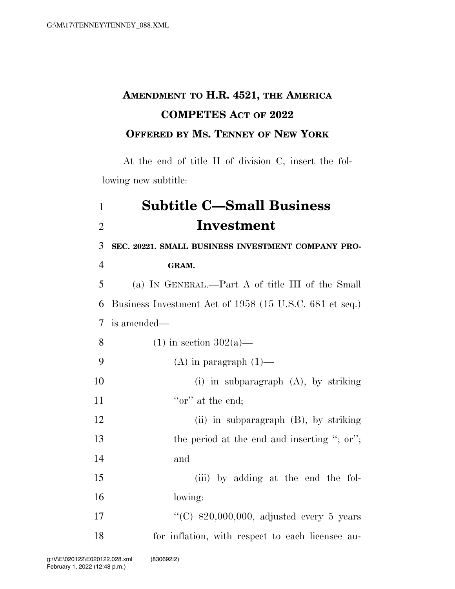## **AMENDMENT TO H.R. 4521, THE AMERICA COMPETES ACT OF 2022 OFFERED BY MS. TENNEY OF NEW YORK**

At the end of title II of division C, insert the following new subtitle:

## 1 **Subtitle C—Small Business**  2 **Investment**

 **SEC. 20221. SMALL BUSINESS INVESTMENT COMPANY PRO-**4 **GRAM.**  (a) IN GENERAL.—Part A of title III of the Small Business Investment Act of 1958 (15 U.S.C. 681 et seq.) is amended— 8 (1) in section  $302(a)$ —

9  $(A)$  in paragraph  $(1)$ — 10 (i) in subparagraph (A), by striking 11  $\text{``or'' at the end;}$ 12 (ii) in subparagraph (B), by striking 13 the period at the end and inserting "; or";

15 (iii) by adding at the end the fol-16 lowing:

17  $\frac{17}{20,000,000}$ , adjusted every 5 years 18 for inflation, with respect to each licensee au-

14 and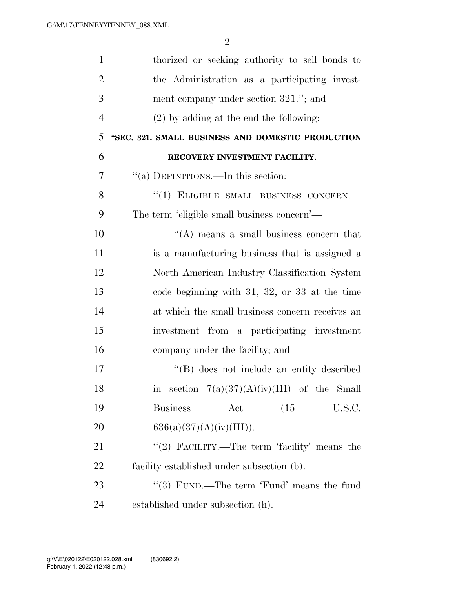| $\mathbf{1}$   | thorized or seeking authority to sell bonds to    |
|----------------|---------------------------------------------------|
| 2              | the Administration as a participating invest-     |
| 3              | ment company under section 321."; and             |
| $\overline{4}$ | $(2)$ by adding at the end the following:         |
| 5              | "SEC. 321. SMALL BUSINESS AND DOMESTIC PRODUCTION |
| 6              | RECOVERY INVESTMENT FACILITY.                     |
| 7              | "(a) DEFINITIONS.—In this section:                |
| 8              | "(1) ELIGIBLE SMALL BUSINESS CONCERN.-            |
| 9              | The term 'eligible small business concern'—       |
| 10             | "(A) means a small business concern that          |
| 11             | is a manufacturing business that is assigned a    |
| 12             | North American Industry Classification System     |
| 13             | code beginning with $31, 32,$ or $33$ at the time |
| 14             | at which the small business concern receives an   |
| 15             | investment from a participating investment        |
| 16             | company under the facility; and                   |
| 17             | "(B) does not include an entity described         |
| 18             | section $7(a)(37)(A)(iv)(III)$ of the Small<br>1n |
| 19             | <b>Business</b><br>Act<br>(15)<br>U.S.C.          |
| 20             | 636(a)(37)(A)(iv)(III)).                          |
| 21             | "(2) FACILITY.—The term 'facility' means the      |
| 22             | facility established under subsection (b).        |
| 23             | "(3) FUND.—The term 'Fund' means the fund         |
| 24             | established under subsection (h).                 |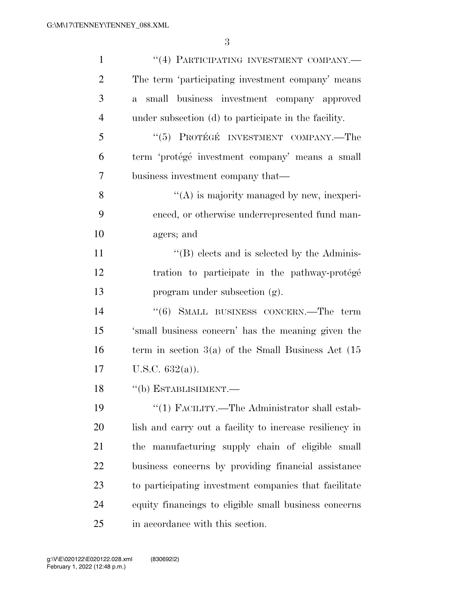| $\mathbf{1}$   | "(4) PARTICIPATING INVESTMENT COMPANY.-                    |
|----------------|------------------------------------------------------------|
| $\overline{2}$ | The term 'participating investment company' means          |
| 3              | small business investment company approved<br>$\mathbf{a}$ |
| $\overline{4}$ | under subsection (d) to participate in the facility.       |
| 5              | "(5) PROTÉGÉ INVESTMENT COMPANY.—The                       |
| 6              | term 'protégé investment company' means a small            |
| 7              | business investment company that—                          |
| 8              | $\lq\lq$ is majority managed by new, inexperi-             |
| 9              | enced, or otherwise underrepresented fund man-             |
| 10             | agers; and                                                 |
| 11             | $\lq\lq$ (B) elects and is selected by the Adminis-        |
| 12             | tration to participate in the pathway-protégé              |
| 13             | program under subsection (g).                              |
| 14             | "(6) SMALL BUSINESS CONCERN.—The term                      |
| 15             | 'small business concern' has the meaning given the         |
| 16             | term in section $3(a)$ of the Small Business Act $(15)$    |
| 17             | U.S.C. $632(a)$ ).                                         |
| 18             | $``$ (b) ESTABLISHMENT.—                                   |
| 19             | "(1) FACILITY.—The Administrator shall estab-              |
| 20             | lish and carry out a facility to increase resiliency in    |
| 21             | the manufacturing supply chain of eligible small           |
| 22             | business concerns by providing financial assistance        |
| 23             | to participating investment companies that facilitate      |
| 24             | equity financings to eligible small business concerns      |
| 25             | in accordance with this section.                           |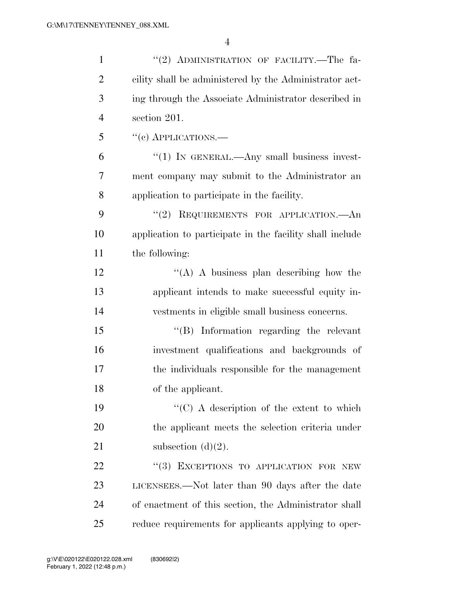| $\mathbf{1}$   | "(2) ADMINISTRATION OF FACILITY.—The fa-                 |
|----------------|----------------------------------------------------------|
| $\overline{2}$ | cility shall be administered by the Administrator act-   |
| 3              | ing through the Associate Administrator described in     |
| $\overline{4}$ | section 201.                                             |
| 5              | $``(e)$ APPLICATIONS.—                                   |
| 6              | " $(1)$ In GENERAL.—Any small business invest-           |
| 7              | ment company may submit to the Administrator an          |
| 8              | application to participate in the facility.              |
| 9              | "(2) REQUIREMENTS FOR APPLICATION.—An                    |
| 10             | application to participate in the facility shall include |
| 11             | the following:                                           |
| 12             | "(A) A business plan describing how the                  |
| 13             | applicant intends to make successful equity in-          |
| 14             | vestments in eligible small business concerns.           |
| 15             | "(B) Information regarding the relevant                  |
| 16             | investment qualifications and backgrounds of             |
| 17             | the individuals responsible for the management           |
| 18             | of the applicant.                                        |
| 19             | " $(C)$ A description of the extent to which             |
| 20             | the applicant meets the selection criteria under         |
| 21             | subsection $(d)(2)$ .                                    |
| 22             | "(3) EXCEPTIONS TO APPLICATION FOR NEW                   |
| 23             | LICENSEES.—Not later than 90 days after the date         |
| 24             | of enactment of this section, the Administrator shall    |
| 25             | reduce requirements for applicants applying to oper-     |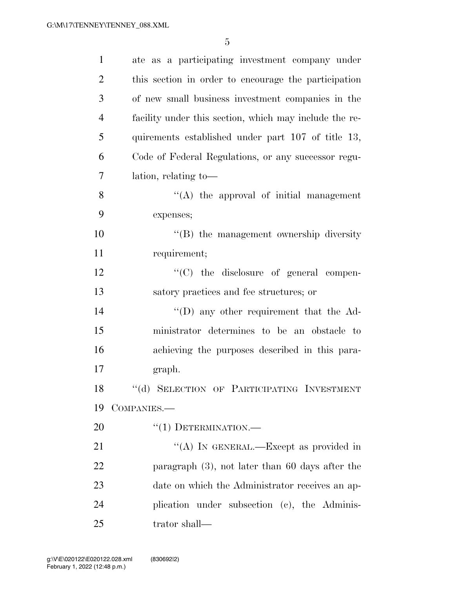| $\mathbf{1}$   | ate as a participating investment company under        |
|----------------|--------------------------------------------------------|
| $\overline{2}$ | this section in order to encourage the participation   |
| 3              | of new small business investment companies in the      |
| $\overline{4}$ | facility under this section, which may include the re- |
| 5              | quirements established under part 107 of title 13,     |
| 6              | Code of Federal Regulations, or any successor regu-    |
| 7              | lation, relating to-                                   |
| 8              | $\lq\lq$ the approval of initial management            |
| 9              | expenses;                                              |
| 10             | $\lq\lq$ the management ownership diversity            |
| 11             | requirement;                                           |
| 12             | "(C) the disclosure of general compen-                 |
| 13             | satory practices and fee structures; or                |
| 14             | $\lq\lq$ (D) any other requirement that the Ad-        |
| 15             | ministrator determines to be an obstacle to            |
| 16             | achieving the purposes described in this para-         |
| 17             | graph.                                                 |
| 18             | "(d) SELECTION OF PARTICIPATING INVESTMENT             |
| 19             | COMPANIES.-                                            |
| 20             | $``(1)$ DETERMINATION.—                                |
| 21             | "(A) IN GENERAL.—Except as provided in                 |
| 22             | paragraph $(3)$ , not later than 60 days after the     |
| 23             | date on which the Administrator receives an ap-        |
| 24             | plication under subsection (c), the Adminis-           |
| 25             | trator shall—                                          |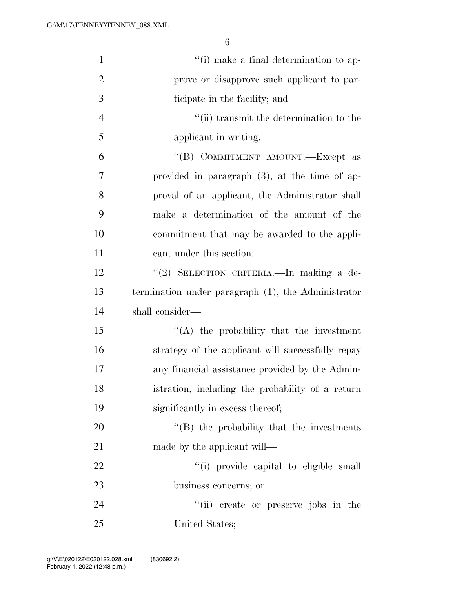| $\mathbf{1}$   | "(i) make a final determination to ap-             |
|----------------|----------------------------------------------------|
| $\overline{2}$ | prove or disapprove such applicant to par-         |
| 3              | ticipate in the facility; and                      |
| $\overline{4}$ | "(ii) transmit the determination to the            |
| 5              | applicant in writing.                              |
| 6              | "(B) COMMITMENT AMOUNT.—Except as                  |
| 7              | provided in paragraph $(3)$ , at the time of ap-   |
| 8              | proval of an applicant, the Administrator shall    |
| 9              | make a determination of the amount of the          |
| 10             | commitment that may be awarded to the appli-       |
| 11             | cant under this section.                           |
| 12             | "(2) SELECTION CRITERIA. - In making a de-         |
| 13             | termination under paragraph (1), the Administrator |
| 14             | shall consider—                                    |
| 15             | $\lq\lq$ the probability that the investment       |
| 16             | strategy of the applicant will successfully repay  |
| 17             | any financial assistance provided by the Admin-    |
| 18             | istration, including the probability of a return   |
| 19             | significantly in excess thereof;                   |
| 20             | $\lq\lq$ (B) the probability that the investments  |
| 21             | made by the applicant will—                        |
| 22             | "(i) provide capital to eligible small             |
| 23             | business concerns; or                              |
| 24             | ``(ii)<br>create or preserve jobs in the           |
| 25             | United States;                                     |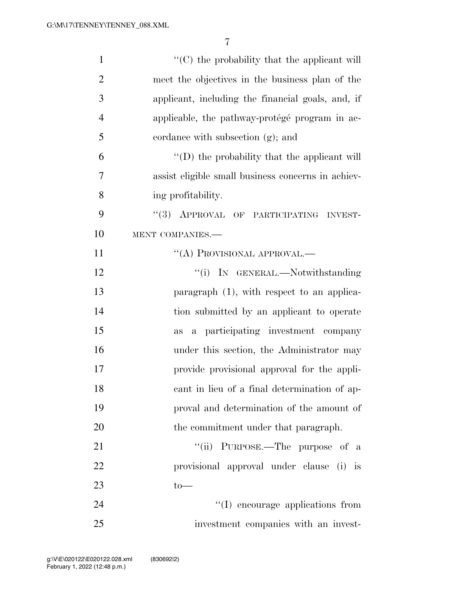| $\mathbf{1}$   | $\lq\lq$ <sup>c</sup> (C) the probability that the applicant will |
|----------------|-------------------------------------------------------------------|
| $\overline{2}$ | meet the objectives in the business plan of the                   |
| 3              | applicant, including the financial goals, and, if                 |
| $\overline{4}$ | applicable, the pathway-protégé program in ac-                    |
| 5              | cordance with subsection (g); and                                 |
| 6              | "(D) the probability that the applicant will                      |
| 7              | assist eligible small business concerns in achiev-                |
| 8              | ing profitability.                                                |
| 9              | "(3) APPROVAL OF PARTICIPATING INVEST-                            |
| 10             | MENT COMPANIES.-                                                  |
| 11             | $\lq\lq (A)$ PROVISIONAL APPROVAL.—                               |
| 12             | "(i) IN GENERAL.—Notwithstanding                                  |
| 13             | paragraph $(1)$ , with respect to an applica-                     |
| 14             | tion submitted by an applicant to operate                         |
| 15             | a participating investment company<br>as                          |
| 16             | under this section, the Administrator may                         |
| 17             | provide provisional approval for the appli-                       |
| 18             | cant in lieu of a final determination of ap-                      |
| 19             | proval and determination of the amount of                         |
| 20             | the commitment under that paragraph.                              |
| 21             | "(ii) PURPOSE.—The purpose of a                                   |
| 22             | provisional approval under clause (i) is                          |
| 23             | $to-$                                                             |
| 24             | "(I) encourage applications from                                  |
| 25             | investment companies with an invest-                              |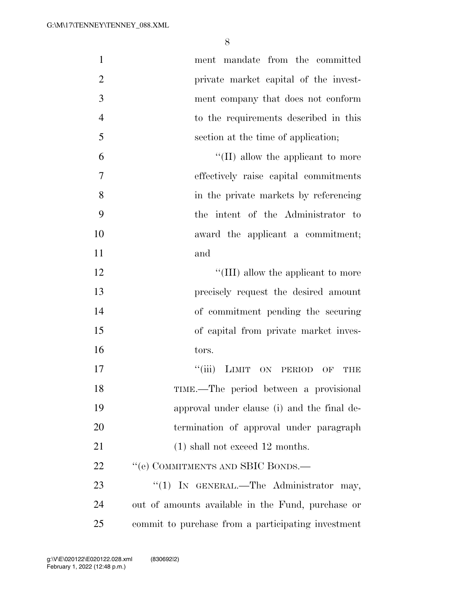| $\mathbf{1}$   | ment mandate from the committed                             |
|----------------|-------------------------------------------------------------|
| $\overline{2}$ | private market capital of the invest-                       |
| 3              | ment company that does not conform                          |
| $\overline{4}$ | to the requirements described in this                       |
| 5              | section at the time of application;                         |
| 6              | $\lq\lq$ (II) allow the applicant to more                   |
| 7              | effectively raise capital commitments                       |
| 8              | in the private markets by referencing                       |
| 9              | the intent of the Administrator to                          |
| 10             | award the applicant a commitment;                           |
| 11             | and                                                         |
| 12             | "(III) allow the applicant to more                          |
| 13             | precisely request the desired amount                        |
| 14             | of commitment pending the securing                          |
| 15             | of capital from private market inves-                       |
| 16             | tors.                                                       |
| 17             | ``(iii)<br>LIMIT ON PERIOD<br>$\overline{\text{OF}}$<br>THE |
| 18             | TIME.—The period between a provisional                      |
| 19             | approval under clause (i) and the final de-                 |
| 20             | termination of approval under paragraph                     |
| 21             | $(1)$ shall not exceed 12 months.                           |
| 22             | "(e) COMMITMENTS AND SBIC BONDS.—                           |
| 23             | "(1) IN GENERAL.—The Administrator may,                     |
| 24             | out of amounts available in the Fund, purchase or           |
| 25             | commit to purchase from a participating investment          |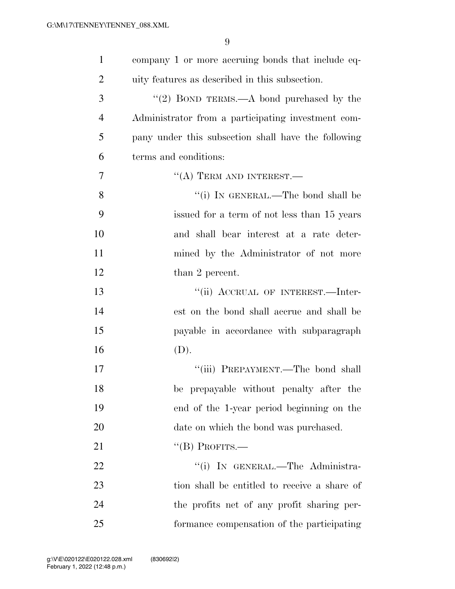| $\mathbf{1}$   | company 1 or more accruing bonds that include eq-   |
|----------------|-----------------------------------------------------|
| $\overline{2}$ | uity features as described in this subsection.      |
| 3              | "(2) BOND TERMS.—A bond purchased by the            |
| $\overline{4}$ | Administrator from a participating investment com-  |
| 5              | pany under this subsection shall have the following |
| 6              | terms and conditions:                               |
| 7              | $\lq\lq$ (A) TERM AND INTEREST.—                    |
| 8              | "(i) IN GENERAL.—The bond shall be                  |
| 9              | issued for a term of not less than 15 years         |
| 10             | and shall bear interest at a rate deter-            |
| 11             | mined by the Administrator of not more              |
| 12             | than 2 percent.                                     |
| 13             | "(ii) ACCRUAL OF INTEREST.—Inter-                   |
| 14             | est on the bond shall accrue and shall be           |
| 15             | payable in accordance with subparagraph             |
| 16             | (D).                                                |
| 17             | "(iii) PREPAYMENT.—The bond shall                   |
| 18             | be prepayable without penalty after the             |
| 19             | end of the 1-year period beginning on the           |
| 20             | date on which the bond was purchased.               |
| 21             | $\lq$ (B) PROFITS.—                                 |
| 22             | "(i) IN GENERAL.—The Administra-                    |
| 23             | tion shall be entitled to receive a share of        |
| 24             | the profits net of any profit sharing per-          |
| 25             | formance compensation of the participating          |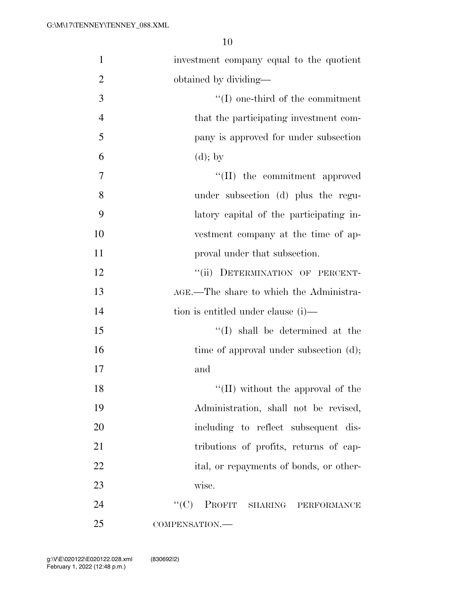| $\mathbf{1}$   | investment company equal to the quotient |
|----------------|------------------------------------------|
| $\overline{2}$ | obtained by dividing—                    |
| 3              | $\lq\lq$ (I) one-third of the commitment |
| $\overline{4}$ | that the participating investment com-   |
| 5              | pany is approved for under subsection    |
| 6              | $(d)$ ; by                               |
| $\overline{7}$ | "(II) the commitment approved            |
| 8              | under subsection (d) plus the regu-      |
| 9              | latory capital of the participating in-  |
| 10             | vestment company at the time of ap-      |
| 11             | proval under that subsection.            |
| 12             | "(ii) DETERMINATION OF PERCENT-          |
| 13             | AGE.—The share to which the Administra-  |
| 14             | tion is entitled under clause (i)—       |
| 15             | $\lq\lq$ shall be determined at the      |
| 16             | time of approval under subsection (d);   |
| 17             | and                                      |
| 18             | "(II) without the approval of the        |
| 19             | Administration, shall not be revised,    |
| 20             | including to reflect subsequent dis-     |
| 21             | tributions of profits, returns of cap-   |
| 22             | ital, or repayments of bonds, or other-  |
| 23             | wise.                                    |
| 24             | ``(C)<br>PROFIT SHARING<br>PERFORMANCE   |
| 25             | COMPENSATION.-                           |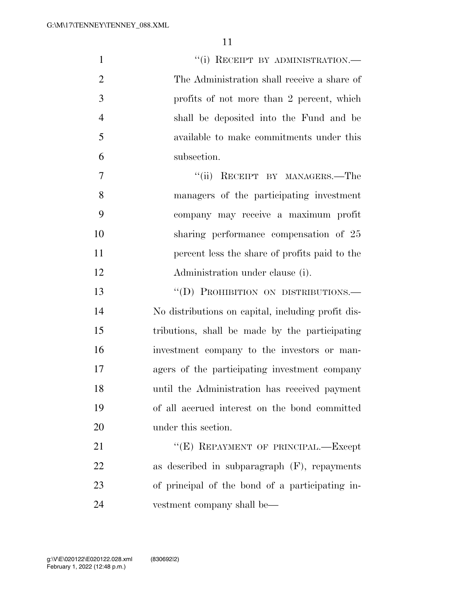| $\mathbf{1}$   | "(i) RECEIPT BY ADMINISTRATION.-                   |
|----------------|----------------------------------------------------|
| $\overline{2}$ | The Administration shall receive a share of        |
| 3              | profits of not more than 2 percent, which          |
| $\overline{4}$ | shall be deposited into the Fund and be            |
| 5              | available to make commitments under this           |
| 6              | subsection.                                        |
| 7              | RECEIPT BY MANAGERS.-The<br>``(ii)                 |
| 8              | managers of the participating investment           |
| 9              | company may receive a maximum profit               |
| 10             | sharing performance compensation of 25             |
| 11             | percent less the share of profits paid to the      |
| 12             | Administration under clause (i).                   |
| 13             | "(D) PROHIBITION ON DISTRIBUTIONS.-                |
| 14             | No distributions on capital, including profit dis- |
| 15             | tributions, shall be made by the participating     |
| 16             | investment company to the investors or man-        |
| 17             | agers of the participating investment company      |
| 18             | until the Administration has received payment      |
| 19             | of all accrued interest on the bond committed      |
| 20             | under this section.                                |
| 21             | "(E) REPAYMENT OF PRINCIPAL.—Except                |
| 22             | as described in subparagraph $(F)$ , repayments    |
| 23             | of principal of the bond of a participating in-    |
| 24             | vestment company shall be—                         |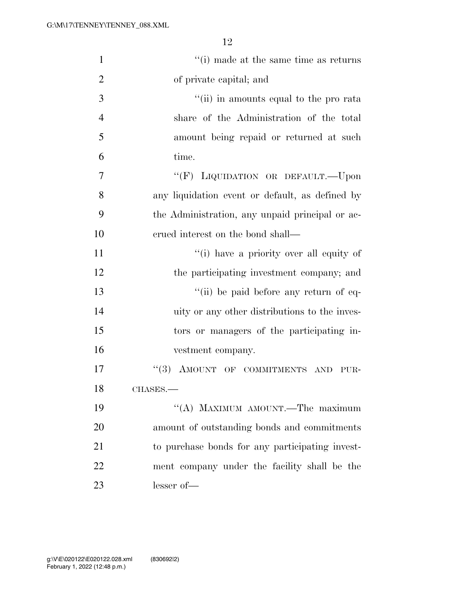| $\mathbf{1}$   | "(i) made at the same time as returns           |
|----------------|-------------------------------------------------|
| $\overline{2}$ | of private capital; and                         |
| $\mathfrak{Z}$ | "(ii) in amounts equal to the pro rata          |
| $\overline{4}$ | share of the Administration of the total        |
| 5              | amount being repaid or returned at such         |
| 6              | time.                                           |
| 7              | "(F) LIQUIDATION OR DEFAULT. - Upon             |
| 8              | any liquidation event or default, as defined by |
| 9              | the Administration, any unpaid principal or ac- |
| 10             | erued interest on the bond shall—               |
| 11             | "(i) have a priority over all equity of         |
| 12             | the participating investment company; and       |
| 13             | "(ii) be paid before any return of eq-          |
| 14             | uity or any other distributions to the inves-   |
| 15             | tors or managers of the participating in-       |
| 16             | vestment company.                               |
| 17             | AMOUNT OF COMMITMENTS AND<br>(3)<br>PUR-        |
| 18             | CHASES.                                         |
| 19             | "(A) MAXIMUM AMOUNT.—The maximum                |
| 20             | amount of outstanding bonds and commitments     |
| 21             | to purchase bonds for any participating invest- |
| 22             | ment company under the facility shall be the    |
| 23             | lesser of-                                      |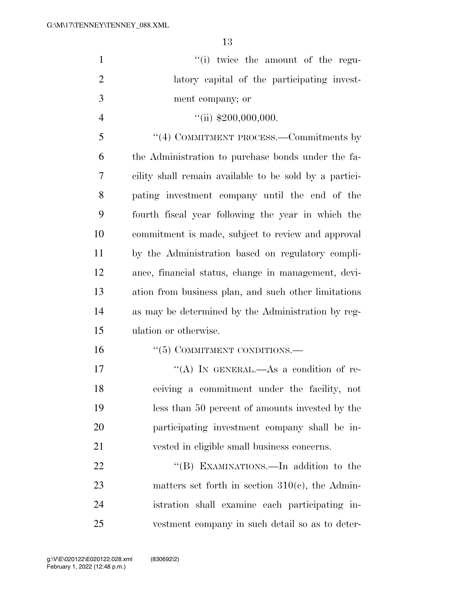| $\mathbf{1}$   | "(i) twice the amount of the regu-                     |
|----------------|--------------------------------------------------------|
| $\overline{2}$ | latory capital of the participating invest-            |
| 3              | ment company; or                                       |
| $\overline{4}$ | $\lq(ii) \; \$200,000,000.$                            |
| 5              | "(4) COMMITMENT PROCESS.—Commitments by                |
| 6              | the Administration to purchase bonds under the fa-     |
| 7              | cility shall remain available to be sold by a partici- |
| 8              | pating investment company until the end of the         |
| 9              | fourth fiscal year following the year in which the     |
| 10             | commitment is made, subject to review and approval     |
| 11             | by the Administration based on regulatory compli-      |
| 12             | ance, financial status, change in management, devi-    |
| 13             | ation from business plan, and such other limitations   |
| 14             | as may be determined by the Administration by reg-     |
| 15             | ulation or otherwise.                                  |
| 16             | $\lq(5)$ COMMITMENT CONDITIONS.—                       |
| 17             | "(A) IN GENERAL.—As a condition of re-                 |
| 18             | ceiving a commitment under the facility, not           |
| 19             | less than 50 percent of amounts invested by the        |
| 20             | participating investment company shall be in-          |
| 21             | vested in eligible small business concerns.            |
| 22             | "(B) EXAMINATIONS.—In addition to the                  |
| 23             | matters set forth in section $310(c)$ , the Admin-     |
| 24             | istration shall examine each participating in-         |
| 25             | vestment company in such detail so as to deter-        |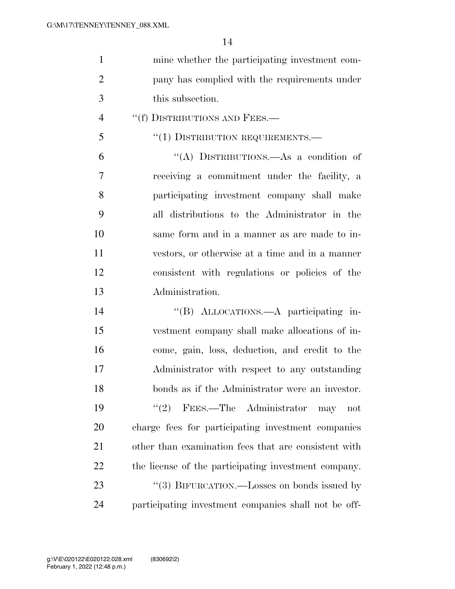| mine whether the participating investment com- |
|------------------------------------------------|
| pany has complied with the requirements under  |
| this subsection.                               |

4 "(f) DISTRIBUTIONS AND FEES.—

## 5 "(1) DISTRIBUTION REQUIREMENTS.—

 ''(A) DISTRIBUTIONS.—As a condition of receiving a commitment under the facility, a participating investment company shall make all distributions to the Administrator in the same form and in a manner as are made to in- vestors, or otherwise at a time and in a manner consistent with regulations or policies of the Administration.

 ''(B) ALLOCATIONS.—A participating in- vestment company shall make allocations of in- come, gain, loss, deduction, and credit to the Administrator with respect to any outstanding bonds as if the Administrator were an investor. ''(2) FEES.—The Administrator may not charge fees for participating investment companies other than examination fees that are consistent with the license of the participating investment company. 23 "(3) BIFURCATION.—Losses on bonds issued by participating investment companies shall not be off-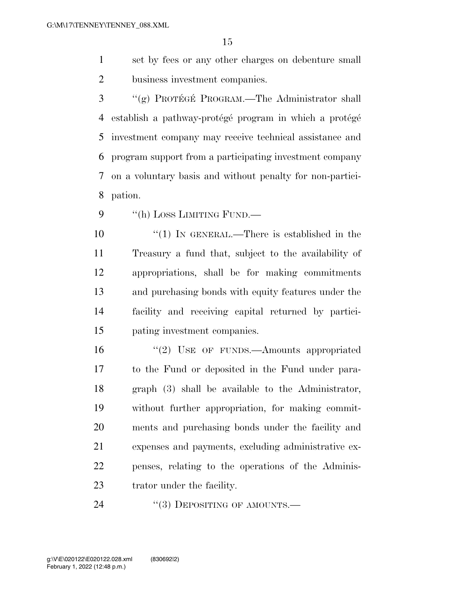set by fees or any other charges on debenture small business investment companies.

3 "(g) PROTÉGÉ PROGRAM.—The Administrator shall 4 establish a pathway-protégé program in which a protégé investment company may receive technical assistance and program support from a participating investment company on a voluntary basis and without penalty for non-partici-pation.

9 "(h) LOSS LIMITING FUND.—

 $\frac{1}{1}$  IN GENERAL.—There is established in the Treasury a fund that, subject to the availability of appropriations, shall be for making commitments and purchasing bonds with equity features under the facility and receiving capital returned by partici-pating investment companies.

16 "(2) USE OF FUNDS.—Amounts appropriated to the Fund or deposited in the Fund under para- graph (3) shall be available to the Administrator, without further appropriation, for making commit- ments and purchasing bonds under the facility and expenses and payments, excluding administrative ex- penses, relating to the operations of the Adminis-trator under the facility.

24 "(3) DEPOSITING OF AMOUNTS.—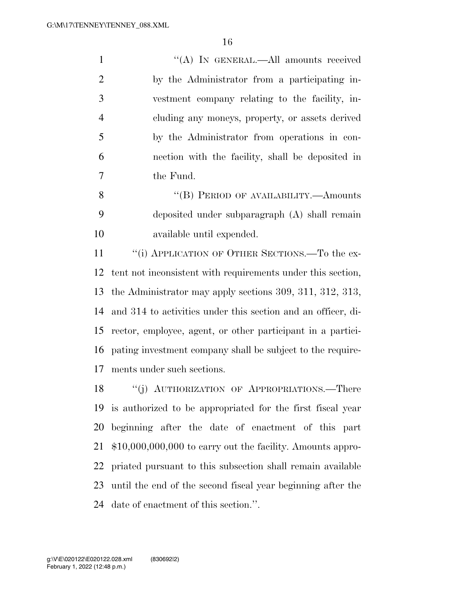| $\mathbf{1}$   | "(A) IN GENERAL.—All amounts received            |
|----------------|--------------------------------------------------|
| 2              | by the Administrator from a participating in-    |
| 3              | vestment company relating to the facility, in-   |
| $\overline{4}$ | cluding any moneys, property, or assets derived  |
| 5              | by the Administrator from operations in con-     |
| 6              | nection with the facility, shall be deposited in |
| 7              | the Fund.                                        |
| 8              | "(B) PERIOD OF AVAILABILITY.—Amounts             |
| 9              | deposited under subparagraph (A) shall remain    |
| 10             | available until expended.                        |

11 ""(i) APPLICATION OF OTHER SECTIONS.—To the ex- tent not inconsistent with requirements under this section, the Administrator may apply sections 309, 311, 312, 313, and 314 to activities under this section and an officer, di- rector, employee, agent, or other participant in a partici- pating investment company shall be subject to the require-ments under such sections.

18 "(j) AUTHORIZATION OF APPROPRIATIONS.—There is authorized to be appropriated for the first fiscal year beginning after the date of enactment of this part \$10,000,000,000 to carry out the facility. Amounts appro- priated pursuant to this subsection shall remain available until the end of the second fiscal year beginning after the date of enactment of this section.''.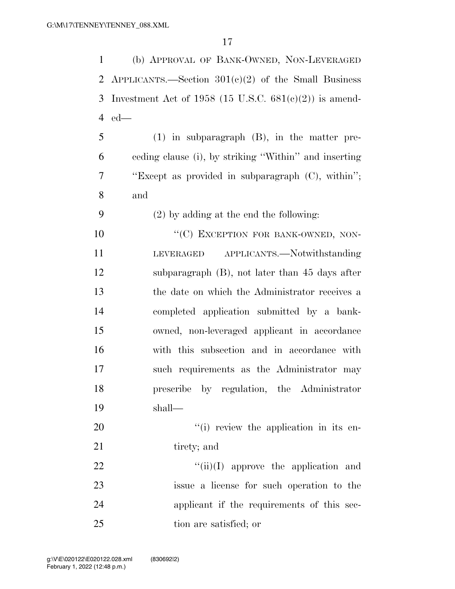(b) APPROVAL OF BANK-OWNED, NON-LEVERAGED 2 APPLICANTS.—Section  $301(e)(2)$  of the Small Business 3 Investment Act of 1958 (15 U.S.C.  $681(e)(2)$ ) is amend- ed— (1) in subparagraph (B), in the matter pre- ceding clause (i), by striking ''Within'' and inserting ''Except as provided in subparagraph (C), within''; and (2) by adding at the end the following: 10 "'(C) EXCEPTION FOR BANK-OWNED, NON- LEVERAGED APPLICANTS.—Notwithstanding subparagraph (B), not later than 45 days after the date on which the Administrator receives a completed application submitted by a bank- owned, non-leveraged applicant in accordance with this subsection and in accordance with such requirements as the Administrator may prescribe by regulation, the Administrator shall—  $\frac{1}{1}$  review the application in its en-21 tirety; and  $\frac{f'(ii)}{I}$  approve the application and issue a license for such operation to the applicant if the requirements of this sec-tion are satisfied; or